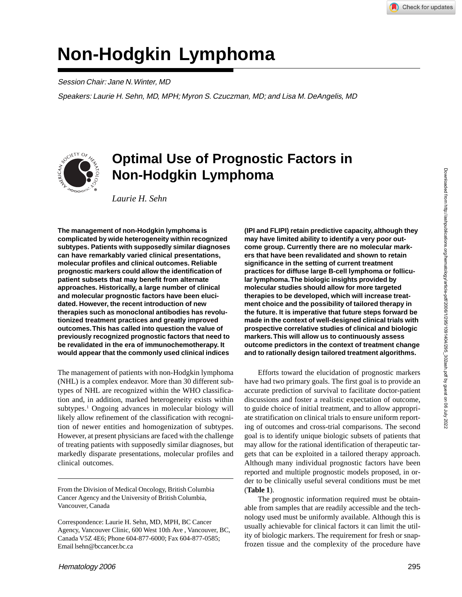# **Non-Hodgkin Lymphoma**

Session Chair: Jane N. Winter, MD

Speakers: Laurie H. Sehn, MD, MPH; Myron S. Czuczman, MD; and Lisa M. DeAngelis, MD

# **Optimal Use of Prognostic Factors in Non-Hodgkin Lymphoma**

*Laurie H. Sehn*

**The management of non-Hodgkin lymphoma is complicated by wide heterogeneity within recognized subtypes. Patients with supposedly similar diagnoses can have remarkably varied clinical presentations, molecular profiles and clinical outcomes. Reliable prognostic markers could allow the identification of patient subsets that may benefit from alternate approaches. Historically, a large number of clinical and molecular prognostic factors have been elucidated. However, the recent introduction of new therapies such as monoclonal antibodies has revolutionized treatment practices and greatly improved outcomes. This has called into question the value of previously recognized prognostic factors that need to be revalidated in the era of immunochemotherapy. It would appear that the commonly used clinical indices**

The management of patients with non-Hodgkin lymphoma (NHL) is a complex endeavor. More than 30 different subtypes of NHL are recognized within the WHO classification and, in addition, marked heterogeneity exists within subtypes.<sup>1</sup> Ongoing advances in molecular biology will likely allow refinement of the classification with recognition of newer entities and homogenization of subtypes. However, at present physicians are faced with the challenge of treating patients with supposedly similar diagnoses, but markedly disparate presentations, molecular profiles and clinical outcomes.

From the Division of Medical Oncology, British Columbia Cancer Agency and the University of British Columbia, Vancouver, Canada

Correspondence: Laurie H. Sehn, MD, MPH, BC Cancer Agency, Vancouver Clinic, 600 West 10th Ave , Vancouver, BC, Canada V5Z 4E6; Phone 604-877-6000; Fax 604-877-0585; Email lsehn@bccancer.bc.ca

**(IPI and FLIPI) retain predictive capacity, although they may have limited ability to identify a very poor outcome group. Currently there are no molecular markers that have been revalidated and shown to retain significance in the setting of current treatment practices for diffuse large B-cell lymphoma or follicular lymphoma. The biologic insights provided by molecular studies should allow for more targeted therapies to be developed, which will increase treatment choice and the possibility of tailored therapy in the future. It is imperative that future steps forward be made in the context of well-designed clinical trials with prospective correlative studies of clinical and biologic markers. This will allow us to continuously assess outcome predictors in the context of treatment change and to rationally design tailored treatment algorithms.**

Efforts toward the elucidation of prognostic markers have had two primary goals. The first goal is to provide an accurate prediction of survival to facilitate doctor-patient discussions and foster a realistic expectation of outcome, to guide choice of initial treatment, and to allow appropriate stratification on clinical trials to ensure uniform reporting of outcomes and cross-trial comparisons. The second goal is to identify unique biologic subsets of patients that may allow for the rational identification of therapeutic targets that can be exploited in a tailored therapy approach. Although many individual prognostic factors have been reported and multiple prognostic models proposed, in order to be clinically useful several conditions must be met (**Table 1**).

The prognostic information required must be obtainable from samples that are readily accessible and the technology used must be uniformly available. Although this is usually achievable for clinical factors it can limit the utility of biologic markers. The requirement for fresh or snapfrozen tissue and the complexity of the procedure have

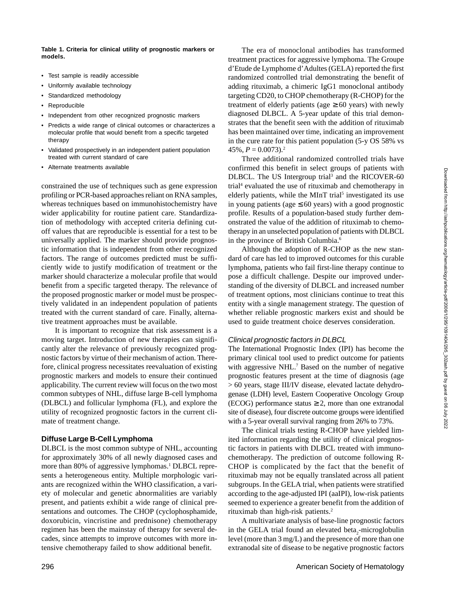**Table 1. Criteria for clinical utility of prognostic markers or models.**

- Test sample is readily accessible
- Uniformly available technology
- Standardized methodology
- Reproducible
- Independent from other recognized prognostic markers
- Predicts a wide range of clinical outcomes or characterizes a molecular profile that would benefit from a specific targeted therapy
- Validated prospectively in an independent patient population treated with current standard of care
- Alternate treatments available

constrained the use of techniques such as gene expression profiling or PCR-based approaches reliant on RNA samples, whereas techniques based on immunohistochemistry have wider applicability for routine patient care. Standardization of methodology with accepted criteria defining cutoff values that are reproducible is essential for a test to be universally applied. The marker should provide prognostic information that is independent from other recognized factors. The range of outcomes predicted must be sufficiently wide to justify modification of treatment or the marker should characterize a molecular profile that would benefit from a specific targeted therapy. The relevance of the proposed prognostic marker or model must be prospectively validated in an independent population of patients treated with the current standard of care. Finally, alternative treatment approaches must be available.

It is important to recognize that risk assessment is a moving target. Introduction of new therapies can significantly alter the relevance of previously recognized prognostic factors by virtue of their mechanism of action. Therefore, clinical progress necessitates reevaluation of existing prognostic markers and models to ensure their continued applicability. The current review will focus on the two most common subtypes of NHL, diffuse large B-cell lymphoma (DLBCL) and follicular lymphoma (FL), and explore the utility of recognized prognostic factors in the current climate of treatment change.

#### **Diffuse Large B-Cell Lymphoma**

DLBCL is the most common subtype of NHL, accounting for approximately 30% of all newly diagnosed cases and more than 80% of aggressive lymphomas.<sup>1</sup> DLBCL represents a heterogeneous entity. Multiple morphologic variants are recognized within the WHO classification, a variety of molecular and genetic abnormalities are variably present, and patients exhibit a wide range of clinical presentations and outcomes. The CHOP (cyclophosphamide, doxorubicin, vincristine and prednisone) chemotherapy regimen has been the mainstay of therapy for several decades, since attempts to improve outcomes with more intensive chemotherapy failed to show additional benefit.

The era of monoclonal antibodies has transformed treatment practices for aggressive lymphoma. The Groupe d'Etude de Lymphome d'Adultes (GELA) reported the first randomized controlled trial demonstrating the benefit of adding rituximab, a chimeric IgG1 monoclonal antibody targeting CD20, to CHOP chemotherapy (R-CHOP) for the treatment of elderly patients (age  $\geq 60$  years) with newly diagnosed DLBCL. A 5-year update of this trial demonstrates that the benefit seen with the addition of rituximab has been maintained over time, indicating an improvement in the cure rate for this patient population (5-y OS 58% vs  $45\%, P = 0.0073$ .<sup>2</sup>

Three additional randomized controlled trials have confirmed this benefit in select groups of patients with DLBCL. The US Intergroup trial<sup>3</sup> and the RICOVER-60 trial<sup>4</sup> evaluated the use of rituximab and chemotherapy in elderly patients, while the MInT trial<sup>5</sup> investigated its use in young patients (age  $\leq 60$  years) with a good prognostic profile. Results of a population-based study further demonstrated the value of the addition of rituximab to chemotherapy in an unselected population of patients with DLBCL in the province of British Columbia.<sup>6</sup>

Although the adoption of R-CHOP as the new standard of care has led to improved outcomes for this curable lymphoma, patients who fail first-line therapy continue to pose a difficult challenge. Despite our improved understanding of the diversity of DLBCL and increased number of treatment options, most clinicians continue to treat this entity with a single management strategy. The question of whether reliable prognostic markers exist and should be used to guide treatment choice deserves consideration.

#### *Clinical prognostic factors in DLBCL*

The International Prognostic Index (IPI) has become the primary clinical tool used to predict outcome for patients with aggressive NHL.<sup>7</sup> Based on the number of negative prognostic features present at the time of diagnosis (age > 60 years, stage III/IV disease, elevated lactate dehydrogenase (LDH) level, Eastern Cooperative Oncology Group (ECOG) performance status  $\geq 2$ , more than one extranodal site of disease), four discrete outcome groups were identified with a 5-year overall survival ranging from 26% to 73%.

The clinical trials testing R-CHOP have yielded limited information regarding the utility of clinical prognostic factors in patients with DLBCL treated with immunochemotherapy. The prediction of outcome following R-CHOP is complicated by the fact that the benefit of rituximab may not be equally translated across all patient subgroups. In the GELA trial, when patients were stratified according to the age-adjusted IPI (aaIPI), low-risk patients seemed to experience a greater benefit from the addition of rituximab than high-risk patients.2

A multivariate analysis of base-line prognostic factors in the GELA trial found an elevated beta<sub>2</sub>-microglobulin level (more than 3 mg/L) and the presence of more than one extranodal site of disease to be negative prognostic factors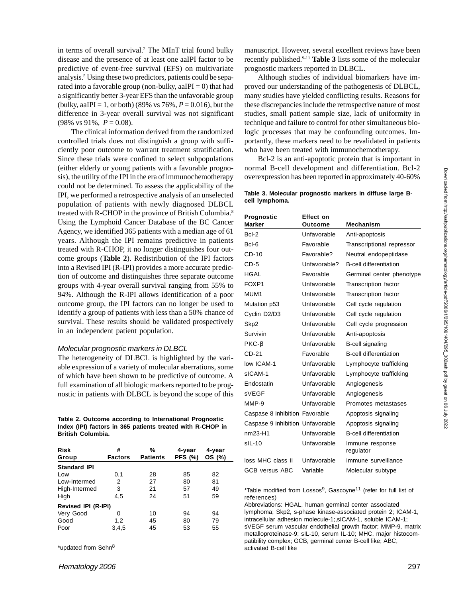in terms of overall survival.<sup>2</sup> The MInT trial found bulky disease and the presence of at least one aaIPI factor to be predictive of event-free survival (EFS) on multivariate analysis.<sup>5</sup> Using these two predictors, patients could be separated into a favorable group (non-bulky,  $a\text{aIPI} = 0$ ) that had a significantly better 3-year EFS than the unfavorable group (bulky, aaIPI = 1, or both) (89% vs  $76\%$ ,  $P = 0.016$ ), but the difference in 3-year overall survival was not significant  $(98\% \text{ vs } 91\%, P = 0.08).$ 

The clinical information derived from the randomized controlled trials does not distinguish a group with sufficiently poor outcome to warrant treatment stratification. Since these trials were confined to select subpopulations (either elderly or young patients with a favorable prognosis), the utility of the IPI in the era of immunochemotherapy could not be determined. To assess the applicability of the IPI, we performed a retrospective analysis of an unselected population of patients with newly diagnosed DLBCL treated with R-CHOP in the province of British Columbia.<sup>8</sup> Using the Lymphoid Cancer Database of the BC Cancer Agency, we identified 365 patients with a median age of 61 years. Although the IPI remains predictive in patients treated with R-CHOP, it no longer distinguishes four outcome groups (**Table 2**). Redistribution of the IPI factors into a Revised IPI (R-IPI) provides a more accurate prediction of outcome and distinguishes three separate outcome groups with 4-year overall survival ranging from 55% to 94%. Although the R-IPI allows identification of a poor outcome group, the IPI factors can no longer be used to identify a group of patients with less than a 50% chance of survival. These results should be validated prospectively in an independent patient population.

### *Molecular prognostic markers in DLBCL*

The heterogeneity of DLBCL is highlighted by the variable expression of a variety of molecular aberrations, some of which have been shown to be predictive of outcome. A full examination of all biologic markers reported to be prognostic in patients with DLBCL is beyond the scope of this

**Table 2. Outcome according to International Prognostic Index (IPI) factors in 365 patients treated with R-CHOP in British Columbia.**

| <b>Risk</b><br>Group       | #<br><b>Factors</b> | %<br><b>Patients</b> | 4-year<br><b>PFS (%)</b> | 4-year<br>OS (%) |  |
|----------------------------|---------------------|----------------------|--------------------------|------------------|--|
| <b>Standard IPI</b>        |                     |                      |                          |                  |  |
| Low                        | 0,1                 | 28                   | 85                       | 82               |  |
| Low-Intermed               | 2                   | 27                   | 80                       | 81               |  |
| High-Intermed              | 3                   | 21                   | 57                       | 49               |  |
| High                       | 4,5                 | 24                   | 51                       | 59               |  |
| <b>Revised IPI (R-IPI)</b> |                     |                      |                          |                  |  |
| Very Good                  | 0                   | 10                   | 94                       | 94               |  |
| Good                       | 1,2                 | 45                   | 80                       | 79               |  |
| Poor                       | 3,4,5               | 45                   | 53                       | 55               |  |

\*updated from Sehn<sup>8</sup>

manuscript. However, several excellent reviews have been recently published.9-11 **Table 3** lists some of the molecular prognostic markers reported in DLBCL.

Although studies of individual biomarkers have improved our understanding of the pathogenesis of DLBCL, many studies have yielded conflicting results. Reasons for these discrepancies include the retrospective nature of most studies, small patient sample size, lack of uniformity in technique and failure to control for other simultaneous biologic processes that may be confounding outcomes. Importantly, these markers need to be revalidated in patients who have been treated with immunochemotherapy.

Bcl-2 is an anti-apoptotic protein that is important in normal B-cell development and differentiation. Bcl-2 overexpression has been reported in approximately 40-60%

#### **Table 3. Molecular prognostic markers in diffuse large Bcell lymphoma.**

| Prognostic<br><b>Marker</b>      | Effect on<br>Outcome | <b>Mechanism</b>              |
|----------------------------------|----------------------|-------------------------------|
| Bcl-2                            | Unfavorable          | Anti-apoptosis                |
| Bcl-6                            | Favorable            | Transcriptional repressor     |
| $CD-10$                          | Favorable?           | Neutral endopeptidase         |
| $CD-5$                           | Unfavorable?         | <b>B-cell differentiation</b> |
| <b>HGAL</b>                      | Favorable            | Germinal center phenotype     |
| FOXP1                            | Unfavorable          | Transcription factor          |
| MUM <sub>1</sub>                 | Unfavorable          | Transcription factor          |
| Mutation p53                     | Unfavorable          | Cell cycle regulation         |
| Cyclin D2/D3                     | Unfavorable          | Cell cycle regulation         |
| Skp2                             | Unfavorable          | Cell cycle progression        |
| Survivin                         | Unfavorable          | Anti-apoptosis                |
| $PKC-B$                          | Unfavorable          | B-cell signaling              |
| $CD-21$                          | Favorable            | <b>B-cell differentiation</b> |
| low ICAM-1                       | Unfavorable          | Lymphocyte trafficking        |
| sICAM-1                          | Unfavorable          | Lymphocyte trafficking        |
| Endostatin                       | Unfavorable          | Angiogenesis                  |
| sVEGF                            | Unfavorable          | Angiogenesis                  |
| MMP-9                            | Unfavorable          | Promotes metastases           |
| Caspase 8 inhibition Favorable   |                      | Apoptosis signaling           |
| Caspase 9 inhibition Unfavorable |                      | Apoptosis signaling           |
| nm23-H1                          | Unfavorable          | <b>B-cell differentiation</b> |
| $sIL-10$                         | Unfavorable          | Immune response<br>regulator  |
| loss MHC class II                | Unfavorable          | Immune surveillance           |
| <b>GCB versus ABC</b>            | Variable             | Molecular subtype             |

\*Table modified from Lossos<sup>9</sup>, Gascoyne<sup>11</sup> (refer for full list of references)

Abbreviations: HGAL, human germinal center associated lymphoma; Skp2, s-phase kinase-associated protein 2; ICAM-1, intracellular adhesion molecule-1;,sICAM-1, soluble ICAM-1; sVEGF serum vascular endothelial growth factor; MMP-9, matrix metalloproteinase-9; sIL-10, serum IL-10; MHC, major histocompatibility complex; GCB, germinal center B-cell like; ABC, activated B-cell like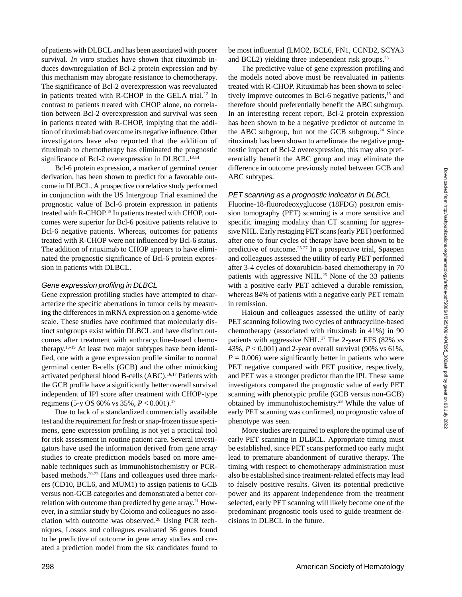of patients with DLBCL and has been associated with poorer survival. *In vitro* studies have shown that rituximab induces downregulation of Bcl-2 protein expression and by this mechanism may abrogate resistance to chemotherapy. The significance of Bcl-2 overexpression was reevaluated in patients treated with R-CHOP in the GELA trial.<sup>12</sup> In contrast to patients treated with CHOP alone, no correlation between Bcl-2 overexpression and survival was seen in patients treated with R-CHOP, implying that the addition of rituximab had overcome its negative influence. Other investigators have also reported that the addition of rituximab to chemotherapy has eliminated the prognostic significance of Bcl-2 overexpression in DLBCL.<sup>13,14</sup>

Bcl-6 protein expression, a marker of germinal center derivation, has been shown to predict for a favorable outcome in DLBCL. A prospective correlative study performed in conjunction with the US Intergroup Trial examined the prognostic value of Bcl-6 protein expression in patients treated with R-CHOP.<sup>15</sup> In patients treated with CHOP, outcomes were superior for Bcl-6 positive patients relative to Bcl-6 negative patients. Whereas, outcomes for patients treated with R-CHOP were not influenced by Bcl-6 status. The addition of rituximab to CHOP appears to have eliminated the prognostic significance of Bcl-6 protein expression in patients with DLBCL.

# *Gene expression profiling in DLBCL*

Gene expression profiling studies have attempted to characterize the specific aberrations in tumor cells by measuring the differences in mRNA expression on a genome-wide scale. These studies have confirmed that molecularly distinct subgroups exist within DLBCL and have distinct outcomes after treatment with anthracycline-based chemotherapy.16-19 At least two major subtypes have been identified, one with a gene expression profile similar to normal germinal center B-cells (GCB) and the other mimicking activated peripheral blood B-cells (ABC).<sup>16,17</sup> Patients with the GCB profile have a significantly better overall survival independent of IPI score after treatment with CHOP-type regimens (5-y OS 60% vs 35%, *P* < 0.001).17

Due to lack of a standardized commercially available test and the requirement for fresh or snap-frozen tissue specimens, gene expression profiling is not yet a practical tool for risk assessment in routine patient care. Several investigators have used the information derived from gene array studies to create prediction models based on more amenable techniques such as immunohistochemistry or PCRbased methods.20-23 Hans and colleagues used three markers (CD10, BCL6, and MUM1) to assign patients to GCB versus non-GCB categories and demonstrated a better correlation with outcome than predicted by gene array.<sup>21</sup> However, in a similar study by Colomo and colleagues no association with outcome was observed.<sup>20</sup> Using PCR techniques, Lossos and colleagues evaluated 36 genes found to be predictive of outcome in gene array studies and created a prediction model from the six candidates found to be most influential (LMO2, BCL6, FN1, CCND2, SCYA3 and BCL2) yielding three independent risk groups.<sup>23</sup>

The predictive value of gene expression profiling and the models noted above must be reevaluated in patients treated with R-CHOP. Rituximab has been shown to selectively improve outcomes in Bcl-6 negative patients,<sup>15</sup> and therefore should preferentially benefit the ABC subgroup. In an interesting recent report, Bcl-2 protein expression has been shown to be a negative predictor of outcome in the ABC subgroup, but not the GCB subgroup.<sup>24</sup> Since rituximab has been shown to ameliorate the negative prognostic impact of Bcl-2 overexpression, this may also preferentially benefit the ABC group and may eliminate the difference in outcome previously noted between GCB and ABC subtypes.

#### *PET scanning as a prognostic indicator in DLBCL*

Fluorine-18-fluorodeoxyglucose (18FDG) positron emission tomography (PET) scanning is a more sensitive and specific imaging modality than CT scanning for aggressive NHL. Early restaging PET scans (early PET) performed after one to four cycles of therapy have been shown to be predictive of outcome.25-27 In a prospective trial, Spaepen and colleagues assessed the utility of early PET performed after 3-4 cycles of doxorubicin-based chemotherapy in 70 patients with aggressive NHL.<sup>25</sup> None of the 33 patients with a positive early PET achieved a durable remission, whereas 84% of patients with a negative early PET remain in remission.

Haioun and colleagues assessed the utility of early PET scanning following two cycles of anthracycline-based chemotherapy (associated with rituximab in 41%) in 90 patients with aggressive NHL.<sup>27</sup> The 2-year EFS (82% vs 43%, *P* < 0.001) and 2-year overall survival (90% vs 61%,  $P = 0.006$ ) were significantly better in patients who were PET negative compared with PET positive, respectively, and PET was a stronger predictor than the IPI. These same investigators compared the prognostic value of early PET scanning with phenotypic profile (GCB versus non-GCB) obtained by immunohistochemistry.28 While the value of early PET scanning was confirmed, no prognostic value of phenotype was seen.

More studies are required to explore the optimal use of early PET scanning in DLBCL. Appropriate timing must be established, since PET scans performed too early might lead to premature abandonment of curative therapy. The timing with respect to chemotherapy administration must also be established since treatment-related effects may lead to falsely positive results. Given its potential predictive power and its apparent independence from the treatment selected, early PET scanning will likely become one of the predominant prognostic tools used to guide treatment decisions in DLBCL in the future.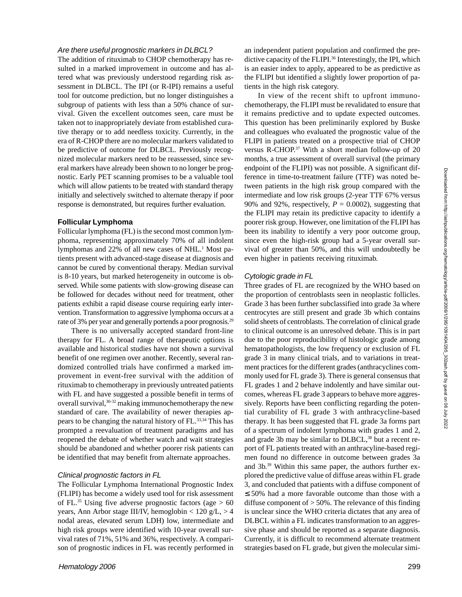# *Are there useful prognostic markers in DLBCL?*

The addition of rituximab to CHOP chemotherapy has resulted in a marked improvement in outcome and has altered what was previously understood regarding risk assessment in DLBCL. The IPI (or R-IPI) remains a useful tool for outcome prediction, but no longer distinguishes a subgroup of patients with less than a 50% chance of survival. Given the excellent outcomes seen, care must be taken not to inappropriately deviate from established curative therapy or to add needless toxicity. Currently, in the era of R-CHOP there are no molecular markers validated to be predictive of outcome for DLBCL. Previously recognized molecular markers need to be reassessed, since several markers have already been shown to no longer be prognostic. Early PET scanning promises to be a valuable tool which will allow patients to be treated with standard therapy initially and selectively switched to alternate therapy if poor response is demonstrated, but requires further evaluation.

### **Follicular Lymphoma**

Follicular lymphoma (FL) is the second most common lymphoma, representing approximately 70% of all indolent lymphomas and 22% of all new cases of NHL.<sup>1</sup> Most patients present with advanced-stage disease at diagnosis and cannot be cured by conventional therapy. Median survival is 8-10 years, but marked heterogeneity in outcome is observed. While some patients with slow-growing disease can be followed for decades without need for treatment, other patients exhibit a rapid disease course requiring early intervention. Transformation to aggressive lymphoma occurs at a rate of 3% per year and generally portends a poor prognosis.<sup>29</sup>

There is no universally accepted standard front-line therapy for FL. A broad range of therapeutic options is available and historical studies have not shown a survival benefit of one regimen over another. Recently, several randomized controlled trials have confirmed a marked improvement in event-free survival with the addition of rituximab to chemotherapy in previously untreated patients with FL and have suggested a possible benefit in terms of overall survival,30-32 making immunochemotherapy the new standard of care. The availability of newer therapies appears to be changing the natural history of FL.33,34 This has prompted a reevaluation of treatment paradigms and has reopened the debate of whether watch and wait strategies should be abandoned and whether poorer risk patients can be identified that may benefit from alternate approaches.

#### *Clinical prognostic factors in FL*

The Follicular Lymphoma International Prognostic Index (FLIPI) has become a widely used tool for risk assessment of FL.<sup>35</sup> Using five adverse prognostic factors (age  $> 60$ years, Ann Arbor stage III/IV, hemoglobin  $< 120$  g/L,  $> 4$ nodal areas, elevated serum LDH) low, intermediate and high risk groups were identified with 10-year overall survival rates of 71%, 51% and 36%, respectively. A comparison of prognostic indices in FL was recently performed in an independent patient population and confirmed the predictive capacity of the FLIPI.<sup>36</sup> Interestingly, the IPI, which is an easier index to apply, appeared to be as predictive as the FLIPI but identified a slightly lower proportion of patients in the high risk category.

In view of the recent shift to upfront immunochemotherapy, the FLIPI must be revalidated to ensure that it remains predictive and to update expected outcomes. This question has been preliminarily explored by Buske and colleagues who evaluated the prognostic value of the FLIPI in patients treated on a prospective trial of CHOP versus R-CHOP.<sup>37</sup> With a short median follow-up of 20 months, a true assessment of overall survival (the primary endpoint of the FLIPI) was not possible. A significant difference in time-to-treatment failure (TTF) was noted between patients in the high risk group compared with the intermediate and low risk groups (2-year TTF 67% versus 90% and 92%, respectively,  $P = 0.0002$ ), suggesting that the FLIPI may retain its predictive capacity to identify a poorer risk group. However, one limitation of the FLIPI has been its inability to identify a very poor outcome group, since even the high-risk group had a 5-year overall survival of greater than 50%, and this will undoubtedly be even higher in patients receiving rituximab.

#### *Cytologic grade in FL*

Three grades of FL are recognized by the WHO based on the proportion of centroblasts seen in neoplastic follicles. Grade 3 has been further subclassified into grade 3a where centrocytes are still present and grade 3b which contains solid sheets of centroblasts. The correlation of clinical grade to clinical outcome is an unresolved debate. This is in part due to the poor reproducibility of histologic grade among hematopathologists, the low frequency or exclusion of FL grade 3 in many clinical trials, and to variations in treatment practices for the different grades (anthracyclines commonly used for FL grade 3). There is general consensus that FL grades 1 and 2 behave indolently and have similar outcomes, whereas FL grade 3 appears to behave more aggressively. Reports have been conflicting regarding the potential curability of FL grade 3 with anthracycline-based therapy. It has been suggested that FL grade 3a forms part of a spectrum of indolent lymphoma with grades 1 and 2, and grade 3b may be similar to DLBCL,<sup>38</sup> but a recent report of FL patients treated with an anthracyline-based regimen found no difference in outcome between grades 3a and 3b.<sup>39</sup> Within this same paper, the authors further explored the predictive value of diffuse areas within FL grade 3, and concluded that patients with a diffuse component of ≤ 50% had a more favorable outcome than those with a diffuse component of  $> 50\%$ . The relevance of this finding is unclear since the WHO criteria dictates that any area of DLBCL within a FL indicates transformation to an aggressive phase and should be reported as a separate diagnosis. Currently, it is difficult to recommend alternate treatment strategies based on FL grade, but given the molecular simi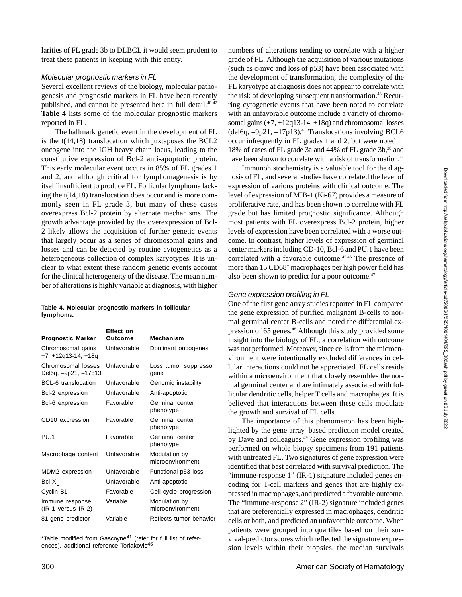larities of FL grade 3b to DLBCL it would seem prudent to treat these patients in keeping with this entity.

## *Molecular prognostic markers in FL*

Several excellent reviews of the biology, molecular pathogenesis and prognostic markers in FL have been recently published, and cannot be presented here in full detail.40-42 **Table 4** lists some of the molecular prognostic markers reported in FL.

The hallmark genetic event in the development of FL is the t(14,18) translocation which juxtaposes the BCL2 oncogene into the IGH heavy chain locus, leading to the constitutive expression of Bcl-2 anti-apoptotic protein. This early molecular event occurs in 85% of FL grades 1 and 2, and although critical for lymphomagenesis is by itself insufficient to produce FL. Follicular lymphoma lacking the t(14,18) translocation does occur and is more commonly seen in FL grade 3, but many of these cases overexpress Bcl-2 protein by alternate mechanisms. The growth advantage provided by the overexpression of Bcl-2 likely allows the acquisition of further genetic events that largely occur as a series of chromosomal gains and losses and can be detected by routine cytogenetics as a heterogeneous collection of complex karyotypes. It is unclear to what extent these random genetic events account for the clinical heterogeneity of the disease. The mean number of alterations is highly variable at diagnosis, with higher

#### **Table 4. Molecular prognostic markers in follicular lymphoma.**

| <b>Prognostic Marker</b>                   | Effect on<br>Outcome | Mechanism                         |
|--------------------------------------------|----------------------|-----------------------------------|
| Chromosomal gains<br>$+7, +12q13-14, +18q$ | Unfavorable          | Dominant oncogenes                |
| Chromosomal losses<br>Del6q, -9p21, -17p13 | Unfavorable          | Loss tumor suppressor<br>gene     |
| BCL-6 translocation                        | Unfavorable          | Genomic instability               |
| Bcl-2 expression                           | Unfavorable          | Anti-apoptotic                    |
| Bcl-6 expression                           | Favorable            | Germinal center<br>phenotype      |
| CD10 expression                            | Favorable            | Germinal center<br>phenotype      |
| PU.1                                       | Favorable            | Germinal center<br>phenotype      |
| Macrophage content                         | Unfavorable          | Modulation by<br>microenvironment |
| MDM2 expression                            | Unfavorable          | Functional p53 loss               |
| $Bcl-X1$                                   | Unfavorable          | Anti-apoptotic                    |
| Cyclin B1                                  | Favorable            | Cell cycle progression            |
| Immune response<br>$(IR-1$ versus $IR-2)$  | Variable             | Modulation by<br>microenvironment |
| 81-gene predictor                          | Variable             | Reflects tumor behavior           |

\*Table modified from Gascoyne<sup>41</sup> (refer for full list of references), additional reference Torlakovic<sup>46</sup>

numbers of alterations tending to correlate with a higher grade of FL. Although the acquisition of various mutations (such as c-myc and loss of p53) have been associated with the development of transformation, the complexity of the FL karyotype at diagnosis does not appear to correlate with the risk of developing subsequent transformation.43 Recurring cytogenetic events that have been noted to correlate with an unfavorable outcome include a variety of chromosomal gains  $(+7, +12q13-14, +18q)$  and chromosomal losses (del6q,  $-9p21$ ,  $-17p13$ ).<sup>41</sup> Translocations involving BCL6 occur infrequently in FL grades 1 and 2, but were noted in 18% of cases of FL grade 3a and 44% of FL grade 3b,<sup>38</sup> and have been shown to correlate with a risk of transformation.<sup>44</sup>

Immunohistochemistry is a valuable tool for the diagnosis of FL, and several studies have correlated the level of expression of various proteins with clinical outcome. The level of expression of MIB-1 (Ki-67) provides a measure of proliferative rate, and has been shown to correlate with FL grade but has limited prognostic significance. Although most patients with FL overexpress Bcl-2 protein, higher levels of expression have been correlated with a worse outcome. In contrast, higher levels of expression of germinal center markers including CD-10, Bcl-6 and PU.1 have been correlated with a favorable outcome.45,46 The presence of more than 15 CD68+ macrophages per high power field has also been shown to predict for a poor outcome.<sup>47</sup>

## *Gene expression profiling in FL*

One of the first gene array studies reported in FL compared the gene expression of purified malignant B-cells to normal germinal center B-cells and noted the differential expression of 65 genes.<sup>48</sup> Although this study provided some insight into the biology of FL, a correlation with outcome was not performed. Moreover, since cells from the microenvironment were intentionally excluded differences in cellular interactions could not be appreciated. FL cells reside within a microenvironment that closely resembles the normal germinal center and are intimately associated with follicular dendritic cells, helper T cells and macrophages. It is believed that interactions between these cells modulate the growth and survival of FL cells.

The importance of this phenomenon has been highlighted by the gene array–based prediction model created by Dave and colleagues.49 Gene expression profiling was performed on whole biopsy specimens from 191 patients with untreated FL. Two signatures of gene expression were identified that best correlated with survival prediction. The "immune-response 1" (IR-1) signature included genes encoding for T-cell markers and genes that are highly expressed in macrophages, and predicted a favorable outcome. The "immune-response 2" (IR-2) signature included genes that are preferentially expressed in macrophages, dendritic cells or both, and predicted an unfavorable outcome. When patients were grouped into quartiles based on their survival-predictor scores which reflected the signature expression levels within their biopsies, the median survivals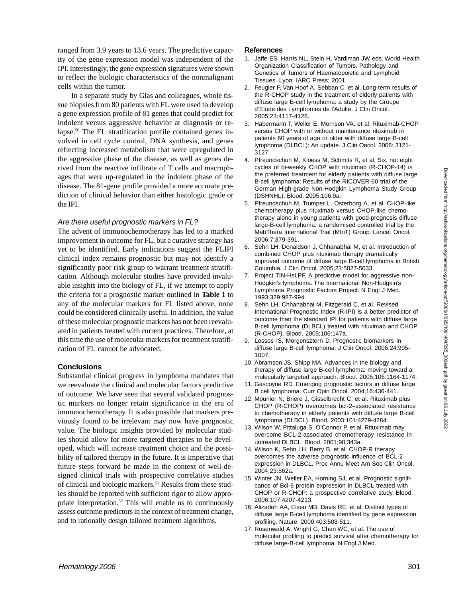ranged from 3.9 years to 13.6 years. The predictive capacity of the gene expression model was independent of the IPI. Interestingly, the gene expression signatures were shown to reflect the biologic characteristics of the nonmalignant cells within the tumor.

In a separate study by Glas and colleagues, whole tissue biopsies from 80 patients with FL were used to develop a gene expression profile of 81 genes that could predict for indolent versus aggressive behavior at diagnosis or relapse.<sup>50</sup> The FL stratification profile contained genes involved in cell cycle control, DNA synthesis, and genes reflecting increased metabolism that were upregulated in the aggressive phase of the disease, as well as genes derived from the reactive infiltrate of T cells and macrophages that were up-regulated in the indolent phase of the disease. The 81-gene profile provided a more accurate prediction of clinical behavior than either histologic grade or the IPI.

# *Are there useful prognostic markers in FL?*

The advent of immunochemotherapy has led to a marked improvement in outcome for FL, but a curative strategy has yet to be identified. Early indications suggest the FLIPI clinical index remains prognostic but may not identify a significantly poor risk group to warrant treatment stratification. Although molecular studies have provided invaluable insights into the biology of FL, if we attempt to apply the criteria for a prognostic marker outlined in **Table 1** to any of the molecular markers for FL listed above, none could be considered clinically useful. In addition, the value of these molecular prognostic markers has not been reevaluated in patients treated with current practices. Therefore, at this time the use of molecular markers for treatment stratification of FL cannot be advocated.

# **Conclusions**

Substantial clinical progress in lymphoma mandates that we reevaluate the clinical and molecular factors predictive of outcome. We have seen that several validated prognostic markers no longer retain significance in the era of immunochemotherapy. It is also possible that markers previously found to be irrelevant may now have prognostic value. The biologic insights provided by molecular studies should allow for more targeted therapies to be developed, which will increase treatment choice and the possibility of tailored therapy in the future. It is imperative that future steps forward be made in the context of well-designed clinical trials with prospective correlative studies of clinical and biologic markers.<sup>51</sup> Results from these studies should be reported with sufficient rigor to allow appropriate interpretation.52 This will enable us to continuously assess outcome predictors in the context of treatment change, and to rationally design tailored treatment algorithms.

#### **References**

- 1. Jaffe ES, Harris NL, Stein H, Vardiman JW eds. World Health Organization Classification of Tumors. Pathology and Genetics of Tumors of Haematopoietic and Lymphoid Tissues. Lyon: IARC Press; 2001.
- 2. Feugier P, Van Hoof A, Sebban C, et al. Long-term results of the R-CHOP study in the treatment of elderly patients with diffuse large B-cell lymphoma: a study by the Groupe d'Etude des Lymphomes de l'Adulte. J Clin Oncol. 2005;23:4117-4126.
- 3. Habermann T, Weller E, Morrison VA, et al. Rituximab-CHOP versus CHOP with or without maintenance rituximab in patients 60 years of age or older with diffuse large B-cell lymphoma (DLBCL): An update. J Clin Oncol. 2006: 3121- 3127.
- 4. Pfreundschuh M, Kloess M, Schmits R, et al. Six, not eight cycles of bi-weekly CHOP with rituximab (R-CHOP-14) is the preferred treatment for elderly patients with diffuse large B-cell lymphoma: Results of the RICOVER-60 trial of the German High-grade Non-Hodgkin Lymphoma Study Group (DSHNHL). Blood. 2005;106:9a.
- 5. Pfreundschuh M, Trumper L, Osterborg A, et al. CHOP-like chemotherapy plus rituximab versus CHOP-like chemotherapy alone in young patients with good-prognosis diffuse large-B-cell lymphoma: a randomised controlled trial by the MabThera International Trial (MInT) Group. Lancet Oncol. 2006;7:379-391.
- 6. Sehn LH, Donaldson J, Chhanabhai M, et al. Introduction of combined CHOP plus rituximab therapy dramatically improved outcome of diffuse large B-cell lymphoma in British Columbia. J Clin Oncol. 2005;23:5027-5033.
- 7. Project TIN-HsLPF. A predictive model for aggressive non-Hodgkin's lymphoma. The International Non-Hodgkin's Lymphoma Prognostic Factors Project. N Engl J Med. 1993;329:987-994.
- 8. Sehn LH, Chhanabhai M, Fitzgerald C, et al. Revised International Prognostic Index (R-IPI) is a better predictor of outcome than the standard IPI for patients with diffuse large B-cell lymphoma (DLBCL) treated with rituximab and CHOP (R-CHOP). Blood. 2005;106:147a.
- 9. Lossos IS, Morgensztern D. Prognostic biomarkers in diffuse large B-cell lymphoma. J Clin Oncol. 2006;24:995- 1007.
- 10. Abramson JS, Shipp MA. Advances in the biology and therapy of diffuse large B-cell lymphoma: moving toward a molecularly targeted approach. Blood. 2005;106:1164-1174.
- 11. Gascoyne RD. Emerging prognostic factors in diffuse large B cell lymphoma. Curr Opin Oncol. 2004;16:436-441.
- 12. Mounier N, Briere J, Gisselbrecht C, et al. Rituximab plus CHOP (R-CHOP) overcomes bcl-2–associated resistance to chemotherapy in elderly patients with diffuse large B-cell lymphoma (DLBCL). Blood. 2003;101:4279-4284.
- 13. Wilson W, Pittaluga S, O'Connor P, et al. Rituximab may overcome BCL-2-associated chemotherapy resistance in untreated DLBCL. Blood. 2001;98:343a.
- 14. Wilson K, Sehn LH, Berry B, et al. CHOP-R therapy overcomes the adverse prognostic influence of BCL-2 expression in DLBCL. Proc Annu Meet Am Soc Clin Oncol. 2004;23:562a.
- 15. Winter JN, Weller EA, Horning SJ, et al. Prognostic significance of Bcl-6 protein expression in DLBCL treated with CHOP or R-CHOP: a prospective correlative study. Blood. 2006;107:4207-4213.
- 16. Alizadeh AA, Eisen MB, Davis RE, et al. Distinct types of diffuse large B-cell lymphoma identified by gene expression profiling. Nature. 2000;403:503-511.
- 17. Rosenwald A, Wright G, Chan WC, et al. The use of molecular profiling to predict survival after chemotherapy for diffuse large-B-cell lymphoma. N Engl J Med.